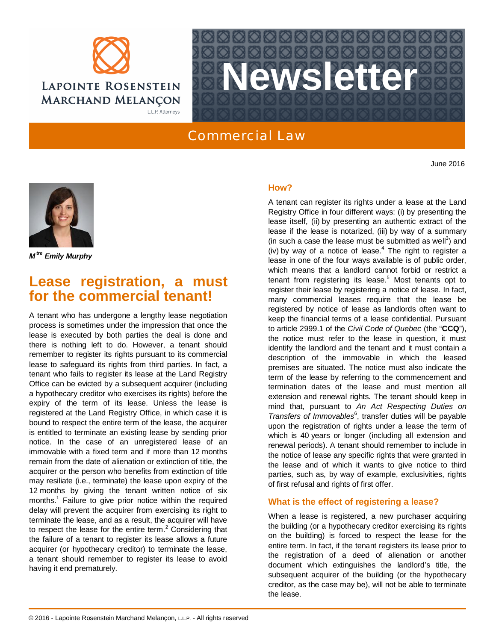



## Commercial Law

June 2016



*M tre Emily Murphy*

# **Lease registration, a must for the commercial tenant!**

A tenant who has undergone a lengthy lease negotiation process is sometimes under the impression that once the lease is executed by both parties the deal is done and there is nothing left to do. However, a tenant should remember to register its rights pursuant to its commercial lease to safeguard its rights from third parties. In fact, a tenant who fails to register its lease at the Land Registry Office can be evicted by a subsequent acquirer (including a hypothecary creditor who exercises its rights) before the expiry of the term of its lease. Unless the lease is registered at the Land Registry Office, in which case it is bound to respect the entire term of the lease, the acquirer is entitled to terminate an existing lease by sending prior notice. In the case of an unregistered lease of an immovable with a fixed term and if more than 12 months remain from the date of alienation or extinction of title, the acquirer or the person who benefits from extinction of title may resiliate (i.e., terminate) the lease upon expiry of the 12 months by giving the tenant written notice of six months.<sup>1</sup> Failure to give prior notice within the required delay will prevent the acquirer from exercising its right to terminate the lease, and as a result, the acquirer will have to respect the lease for the entire term. $2$  Considering that the failure of a tenant to register its lease allows a future acquirer (or hypothecary creditor) to terminate the lease, a tenant should remember to register its lease to avoid having it end prematurely.

## **How?**

A tenant can register its rights under a lease at the Land Registry Office in four different ways: (i) by presenting the lease itself, (ii) by presenting an authentic extract of the lease if the lease is notarized, (iii) by way of a summary (in such a case the lease must be submitted as well<sup>3</sup>) and (iv) by way of a notice of lease. $4$  The right to register a lease in one of the four ways available is of public order, which means that a landlord cannot forbid or restrict a tenant from registering its lease.<sup>5</sup> Most tenants opt to register their lease by registering a notice of lease. In fact, many commercial leases require that the lease be registered by notice of lease as landlords often want to keep the financial terms of a lease confidential. Pursuant to article 2999.1 of the *Civil Code of Quebec* (the "**CCQ**"), the notice must refer to the lease in question, it must identify the landlord and the tenant and it must contain a description of the immovable in which the leased premises are situated. The notice must also indicate the term of the lease by referring to the commencement and termination dates of the lease and must mention all extension and renewal rights. The tenant should keep in mind that, pursuant to *An Act Respecting Duties on* Transfers of Immovables<sup>6</sup>, transfer duties will be payable upon the registration of rights under a lease the term of which is 40 years or longer (including all extension and renewal periods). A tenant should remember to include in the notice of lease any specific rights that were granted in the lease and of which it wants to give notice to third parties, such as, by way of example, exclusivities, rights of first refusal and rights of first offer.

## **What is the effect of registering a lease?**

When a lease is registered, a new purchaser acquiring the building (or a hypothecary creditor exercising its rights on the building) is forced to respect the lease for the entire term. In fact, if the tenant registers its lease prior to the registration of a deed of alienation or another document which extinguishes the landlord's title, the subsequent acquirer of the building (or the hypothecary creditor, as the case may be), will not be able to terminate the lease.